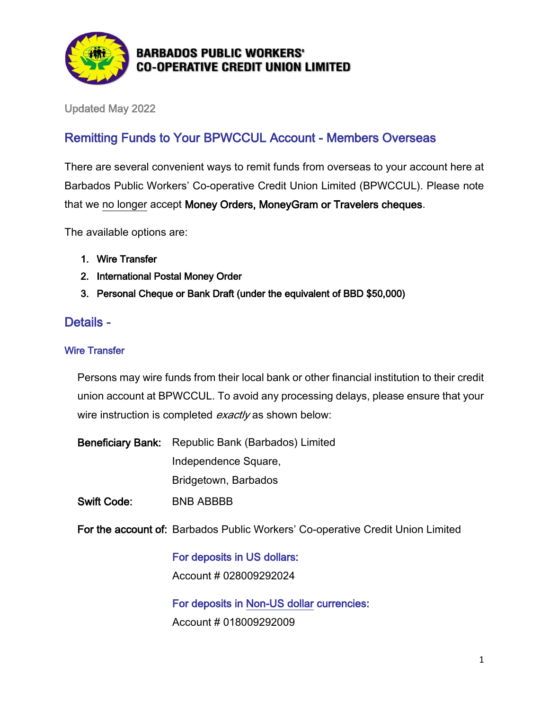

## **BARBADOS PUBLIC WORKERS' CO-OPERATIVE CREDIT UNION LIMITED**

Updated May 2022

# Remitting Funds to Your BPWCCUL Account - Members Overseas

There are several convenient ways to remit funds from overseas to your account here at Barbados Public Workers' Co-operative Credit Union Limited (BPWCCUL). Please note that we no longer accept Money Orders, MoneyGram or Travelers cheques.

The available options are:

- 1. Wire Transfer
- 2. International Postal Money Order
- 3. Personal Cheque or Bank Draft (under the equivalent of BBD \$50,000)

## Details -

#### Wire Transfer

Persons may wire funds from their local bank or other financial institution to their credit union account at BPWCCUL. To avoid any processing delays, please ensure that your wire instruction is completed *exactly* as shown below:

- Beneficiary Bank: Republic Bank (Barbados) Limited Independence Square, Bridgetown, Barbados
- Swift Code: BNB ABBBB

For the account of: Barbados Public Workers' Co-operative Credit Union Limited

For deposits in US dollars: Account # 028009292024

For deposits in Non-US dollar currencies: Account # 018009292009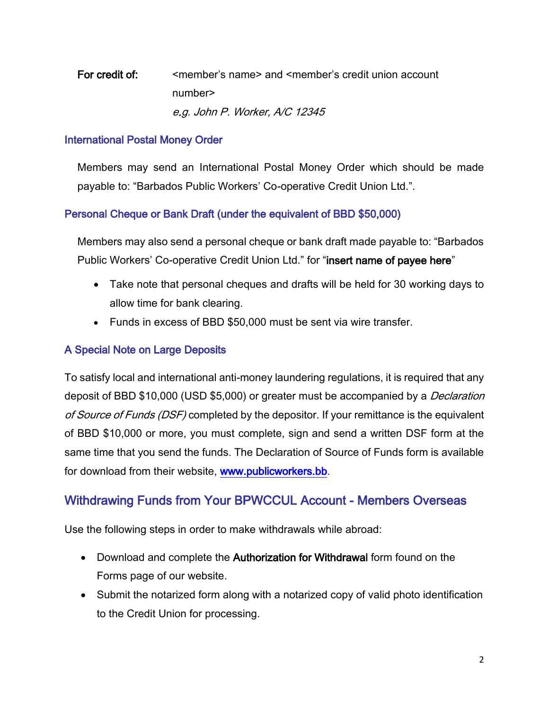# For credit of: same member's name and smember's credit union account number> e.g. John P. Worker, A/C 12345

#### International Postal Money Order

Members may send an International Postal Money Order which should be made payable to: "Barbados Public Workers' Co-operative Credit Union Ltd.".

### Personal Cheque or Bank Draft (under the equivalent of BBD \$50,000)

Members may also send a personal cheque or bank draft made payable to: "Barbados Public Workers' Co-operative Credit Union Ltd." for "insert name of payee here"

- Take note that personal cheques and drafts will be held for 30 working days to allow time for bank clearing.
- Funds in excess of BBD \$50,000 must be sent via wire transfer.

## A Special Note on Large Deposits

To satisfy local and international anti-money laundering regulations, it is required that any deposit of BBD \$10,000 (USD \$5,000) or greater must be accompanied by a *Declaration* of Source of Funds (DSF) completed by the depositor. If your remittance is the equivalent of BBD \$10,000 or more, you must complete, sign and send a written DSF form at the same time that you send the funds. The Declaration of Source of Funds form is available for download from their website, [www.publicworkers.bb.](file://///bssvrfs01/Marketing/BPWCCUL/Overseas/Overseas%20Remittance/www.publicworkers.bb.)

## Withdrawing Funds from Your BPWCCUL Account - Members Overseas

Use the following steps in order to make withdrawals while abroad:

- Download and complete the Authorization for Withdrawal form found on the Forms page of our website.
- Submit the notarized form along with a notarized copy of valid photo identification to the Credit Union for processing.